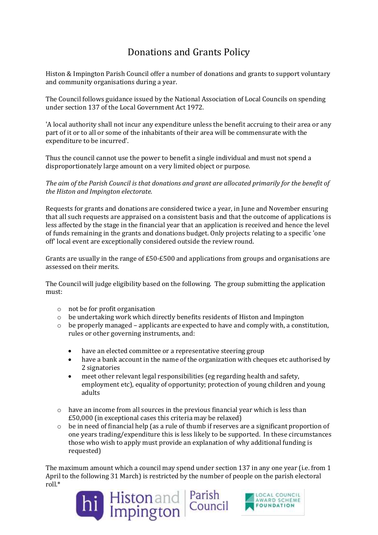## Donations and Grants Policy

Histon & Impington Parish Council offer a number of donations and grants to support voluntary and community organisations during a year.

The Council follows guidance issued by the National Association of Local Councils on spending under section 137 of the Local Government Act 1972.

'A local authority shall not incur any expenditure unless the benefit accruing to their area or any part of it or to all or some of the inhabitants of their area will be commensurate with the expenditure to be incurred'.

Thus the council cannot use the power to benefit a single individual and must not spend a disproportionately large amount on a very limited object or purpose.

*The aim of the Parish Council is that donations and grant are allocated primarily for the benefit of the Histon and Impington electorate.*

Requests for grants and donations are considered twice a year, in June and November ensuring that all such requests are appraised on a consistent basis and that the outcome of applications is less affected by the stage in the financial year that an application is received and hence the level of funds remaining in the grants and donations budget. Only projects relating to a specific 'one off' local event are exceptionally considered outside the review round.

Grants are usually in the range of £50-£500 and applications from groups and organisations are assessed on their merits.

The Council will judge eligibility based on the following. The group submitting the application must:

- o not be for profit organisation
- $\circ$  be undertaking work which directly benefits residents of Histon and Impington
- $\circ$  be properly managed applicants are expected to have and comply with, a constitution, rules or other governing instruments, and:
	- have an elected committee or a representative steering group
	- have a bank account in the name of the organization with cheques etc authorised by 2 signatories
	- meet other relevant legal responsibilities (eg regarding health and safety, employment etc), equality of opportunity; protection of young children and young adults
- $\circ$  have an income from all sources in the previous financial year which is less than £50,000 (in exceptional cases this criteria may be relaxed)
- $\circ$  be in need of financial help (as a rule of thumb if reserves are a significant proportion of one years trading/expenditure this is less likely to be supported. In these circumstances those who wish to apply must provide an explanation of why additional funding is requested)

The maximum amount which a council may spend under section 137 in any one year (i.e. from 1 April to the following 31 March) is restricted by the number of people on the parish electoral roll.\*